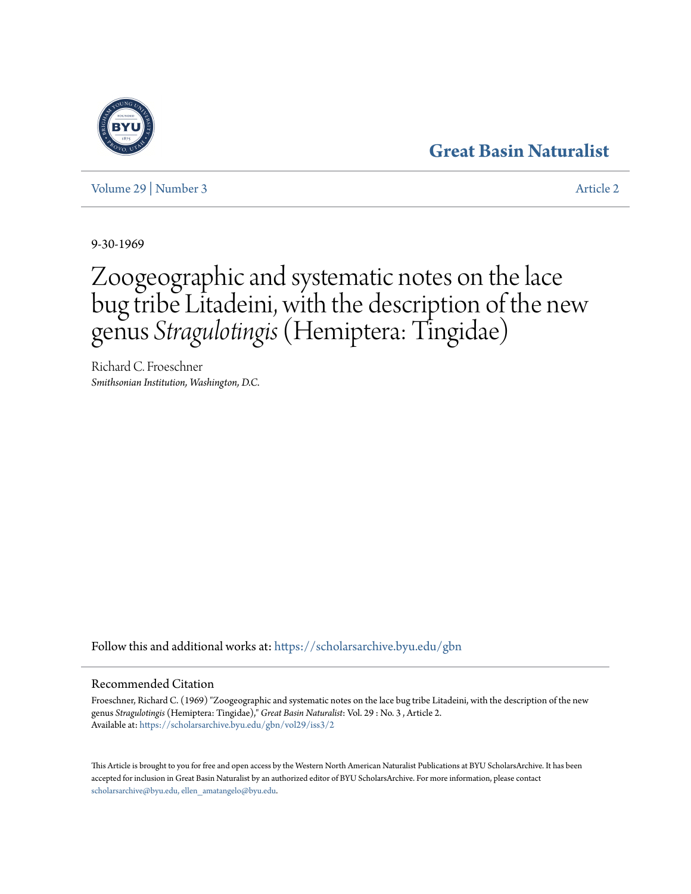# **[Great Basin Naturalist](https://scholarsarchive.byu.edu/gbn?utm_source=scholarsarchive.byu.edu%2Fgbn%2Fvol29%2Fiss3%2F2&utm_medium=PDF&utm_campaign=PDFCoverPages)**



[Volume 29](https://scholarsarchive.byu.edu/gbn/vol29?utm_source=scholarsarchive.byu.edu%2Fgbn%2Fvol29%2Fiss3%2F2&utm_medium=PDF&utm_campaign=PDFCoverPages) | [Number 3](https://scholarsarchive.byu.edu/gbn/vol29/iss3?utm_source=scholarsarchive.byu.edu%2Fgbn%2Fvol29%2Fiss3%2F2&utm_medium=PDF&utm_campaign=PDFCoverPages) [Article 2](https://scholarsarchive.byu.edu/gbn/vol29/iss3/2?utm_source=scholarsarchive.byu.edu%2Fgbn%2Fvol29%2Fiss3%2F2&utm_medium=PDF&utm_campaign=PDFCoverPages)

9-30-1969

# Zoogeographic and systematic notes on the lace bug tribe Litadeini, with the description of the new genus *Stragulotingis*(Hemiptera: Tingidae)

Richard C. Froeschner *Smithsonian Institution, Washington, D.C.*

Follow this and additional works at: [https://scholarsarchive.byu.edu/gbn](https://scholarsarchive.byu.edu/gbn?utm_source=scholarsarchive.byu.edu%2Fgbn%2Fvol29%2Fiss3%2F2&utm_medium=PDF&utm_campaign=PDFCoverPages)

# Recommended Citation

Froeschner, Richard C. (1969) "Zoogeographic and systematic notes on the lace bug tribe Litadeini, with the description of the new genus *Stragulotingis* (Hemiptera: Tingidae)," *Great Basin Naturalist*: Vol. 29 : No. 3 , Article 2. Available at: [https://scholarsarchive.byu.edu/gbn/vol29/iss3/2](https://scholarsarchive.byu.edu/gbn/vol29/iss3/2?utm_source=scholarsarchive.byu.edu%2Fgbn%2Fvol29%2Fiss3%2F2&utm_medium=PDF&utm_campaign=PDFCoverPages)

This Article is brought to you for free and open access by the Western North American Naturalist Publications at BYU ScholarsArchive. It has been accepted for inclusion in Great Basin Naturalist by an authorized editor of BYU ScholarsArchive. For more information, please contact [scholarsarchive@byu.edu, ellen\\_amatangelo@byu.edu.](mailto:scholarsarchive@byu.edu,%20ellen_amatangelo@byu.edu)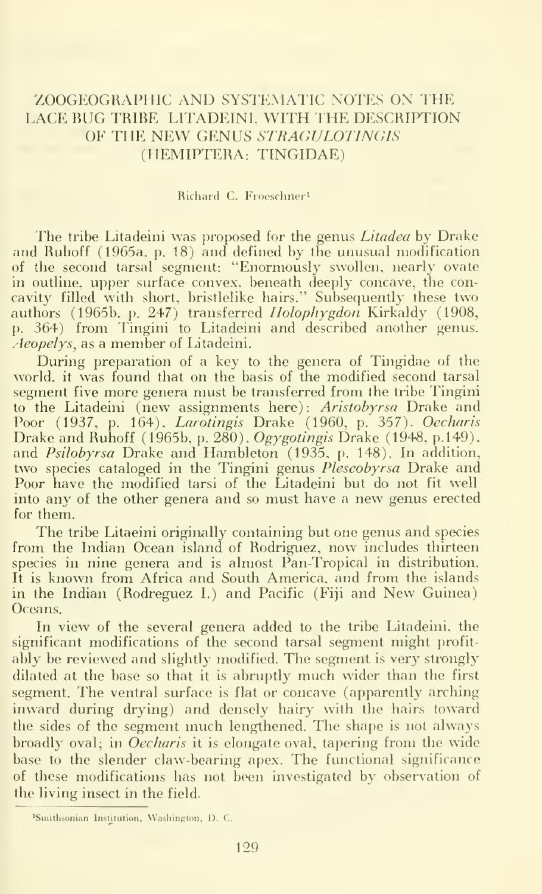## ZOOGEOGRAPIIIC AND SYSTEMATIC NOTES ON THE LACE BUG TRIBE LITADEINI. WITH THE DESCRIPTION OF THE NEW GENUS STRAGULOTINGIS (IIEMIPTERA: TINGIDAE)

#### Richard C. Froeschner^

The tribe Litadeini was proposed for the genus Litadea by Drake and Ruhoff (1965a. p. 18) and defined by the unusual modification of the second tarsal segment: "Enormously swollen, nearly ovate in outline, upper surface convex, beneath deeply concave, the con cavity filled with short, bristlelike hairs." Subsequently these two authors (1965b, p. 247) transferred Holophygdon Kirkaldy (1908, p. 364) from Fingini to Litadeini and described another genus, *Aeopelys*, as a member of Litadeini.

During preparation of a key to the genera of Tingidae of the world, it was found that on the basis of the modified second tarsal segment five more genera must be transferred from the tribe Tingini to the Litadeini (new assignments here): Aristobyrsa Drake and Poor (1937, p. 164), Larotingis Drake (1960, p. 357). Oecharis Drake and Ruhoff (1965b, p. 280). Ogygotingis Drake (1948, p.149). and Psilobyrsa Drake and Hambleton (1935, p. 148). In addition, two species cataloged in the Tingini genus *Pleseobyrsa* Drake and Poor have the modified tarsi of the Litadeini but do not fit well into any of the other genera and so must have <sup>a</sup> new genus erected for them.

The tribe Litaeini originally containing but one genus and species from the Indian Ocean island of Rodriguez, now includes thirteen species in nine genera and is almost Pan-Tropical in distribution. It is known from Africa and South America, and from the islands in the Indian (Rodreguez I.) and Pacific (Fiji and New Guinea) Oceans.

In view of the several genera added to the tribe Litadeini, the significant modifications of the second tarsal segment might profitably be reviewed and slightly modified. The segment is very strongly dilated at the base so that it is abruptly much wider than the first segment. The ventral surface is flat or concave (apparently arching inward during drying) and densely hairy with the hairs toward the sides of the segment much lengthened. The shape is not always broadly oval; in *Oecharis* it is elongate oval, tapering from the wide base to the slender claw-bearing apex. The functional significance of these modifications has not been investigated by observation of the living insect in the field.

<sup>&</sup>lt;sup>1</sup>Smithsonian Institution, Washington, D. C.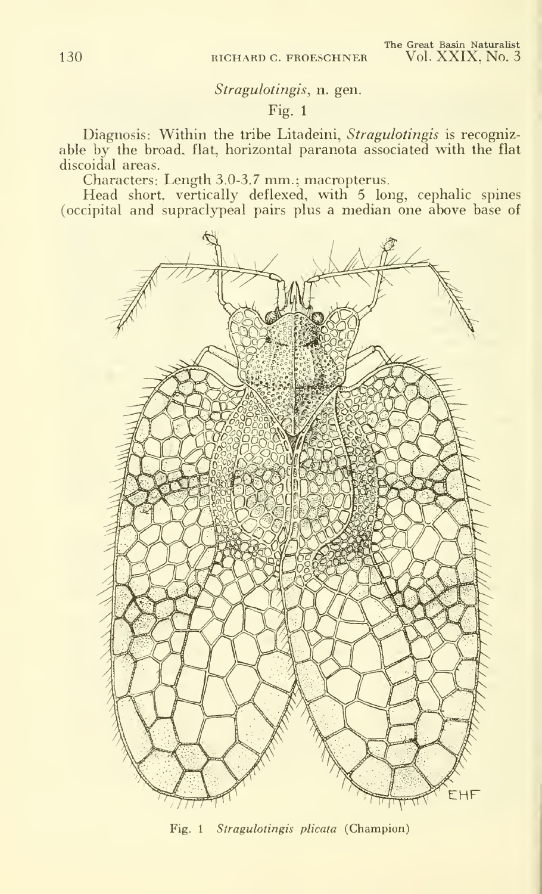### Stragulotingis, n. gen.

# Fig. 1

Diagnosis: Within the tribe Litadeini, Stragulotingis is recognizable by the broad, flat, horizontal paranota associated with the flat discoidal areas.

Characters: Length 3.0-3.7 nun.; macropterus.

Head short, vertically deflexed, with 5 long, cephalic spines (occipital and supraclypeal pairs plus a median one above base of



Fig. <sup>1</sup> Stragulotingis plicata (Champion)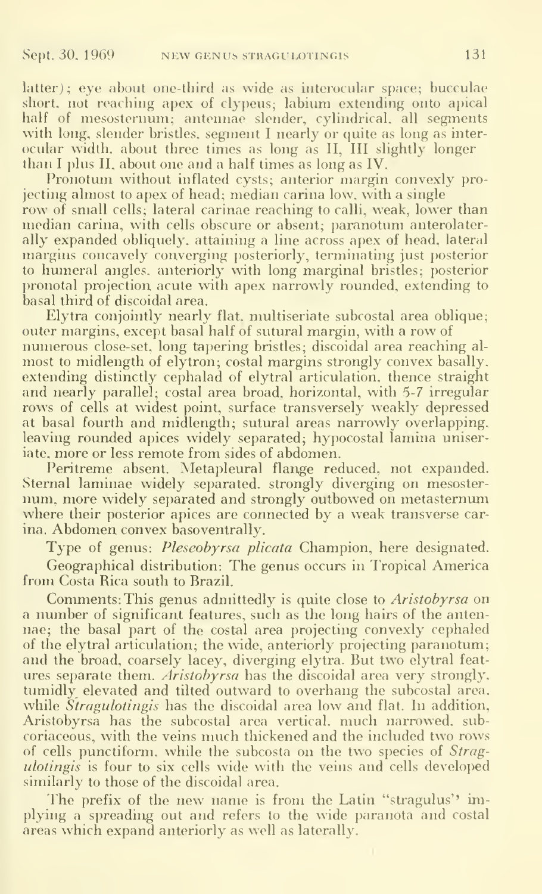latter); eye about one-third as wide as interocular space; bucculae short, not reaching apex of clypeus; labium extending onto apical half of mesosternum; antennae slender, cylindrical, all segments with long, slender bristles, segment I nearly or quite as long as interocular width, about three times as long as II, III slightly longer than <sup>I</sup> plus II. about one and a half times as long as IV.

Pronotum without inflated cysts; anterior margin convexly projecting almost to apex of head; median carina low, with a single row of small cells; lateral carinae reaching to calli. weak, lower than median carina, with cells obscure or absent; paranotum anterolaterally expanded obliquely, attaining a line across apex of head, lateral margins concavely converging posteriorly, terminating just posterior to humeral angles, anteriorly with long marginal bristles; posterior pronotal projection acute with apex narrowly rounded, extending to basal third of discoidal area.

Elytra conjointly nearly flat, multiseriate subcostal area oblique; outer margins, except basal half of sutural margin, with a row of numerous close-set, long tapering bristles; discoidal area reaching al most to midlength of elytron; costal margins strongly convex basally. extending distinctly cephalad of elytral articulation, thence straight and nearly parallel; costal area broad, horizontal, with 5-7 irregular rows of cells at widest point, surface transversely weakly depressed at basal fourth and midlength; sutural areas narrowly overlapping, leaving rounded apices widely separated; hypocostal lamina uniseriate, more or less remote from sides of abdomen.

Peritreme absent. Metapleural flange reduced, not expanded. Sternal laminae widely separated, strongly diverging on mesoster num, more widely separated and strongly outbowed on metasternum where their posterior apices are connected by a weak transverse carina. Abdomen convex basoventrally.

Type of genus: *Pleseobyrsa plicata* Champion, here designated. Geographical distribution: The genus occurs in Tropical America from Costa Rica south to Brazil.

Comments: This genus admittedly is quite close to *Aristobyrsa* on a number of significant features, such as the long hairs of the antennae; the basal part of the costal area projecting convexly cephaled of the elytral articulation; the wide, anteriorly projecting paranotum; and the broad, coarsely lacey, diverging elytra. But two elytral feat ures separate them. *Aristobyrsa* has the discoidal area very strongly, tumidly elevated and tilted outward to overhang the subcostal area, while *Stragulotingis* has the discoidal area low and flat. In addition, Aristobyrsa has the subcostal area vertical, much narrowed, subcoriaceous, with the veins much thickened and the included two rows of cells punctiform, while the subcosta on the two species of Straguloting is four to six cells wide with the veins and cells developed similarly to those of the discoidal area.

The prefix of the new name is from the Latin "stragulus" implying a spreading out and refers to the wide paranota and costal areas which expand anteriorly as well as laterally.